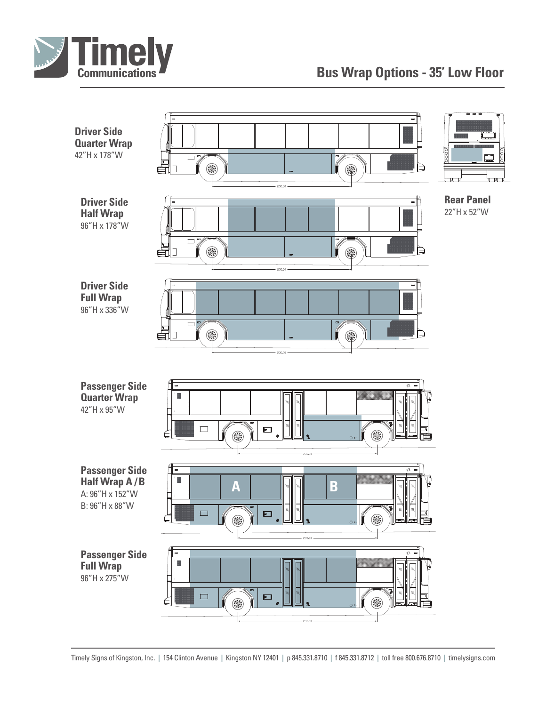

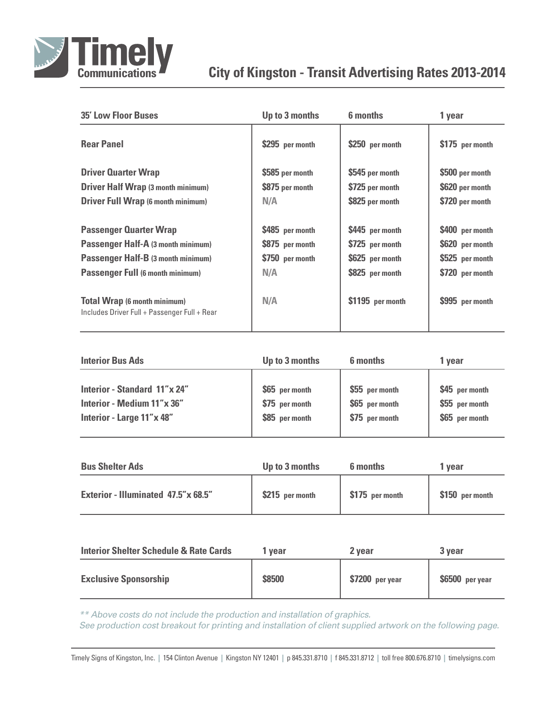

## **City of Kingston - Transit Advertising Rates 2013-2014**

| <b>35' Low Floor Buses</b>                                                          | Up to 3 months  | 6 months         | 1 year          |
|-------------------------------------------------------------------------------------|-----------------|------------------|-----------------|
| <b>Rear Panel</b>                                                                   | \$295 per month | \$250 per month  | \$175 per month |
| <b>Driver Quarter Wrap</b>                                                          | \$585 per month | \$545 per month  | \$500 per month |
| <b>Driver Half Wrap (3 month minimum)</b>                                           | \$875 per month | \$725 per month  | \$620 per month |
| <b>Driver Full Wrap (6 month minimum)</b>                                           | N/A             | \$825 per month  | \$720 per month |
| <b>Passenger Quarter Wrap</b>                                                       | \$485 per month | \$445 per month  | \$400 per month |
| <b>Passenger Half-A (3 month minimum)</b>                                           | \$875 per month | \$725 per month  | \$620 per month |
| Passenger Half-B (3 month minimum)                                                  | \$750 per month | \$625 per month  | \$525 per month |
| <b>Passenger Full (6 month minimum)</b>                                             | N/A             | \$825 per month  | \$720 per month |
| <b>Total Wrap (6 month minimum)</b><br>Includes Driver Full + Passenger Full + Rear | N/A             | \$1195 per month | \$995 per month |

| <b>Interior Bus Ads</b>      | Up to 3 months | <b>6</b> months | 1 vear         |
|------------------------------|----------------|-----------------|----------------|
| Interior - Standard 11"x 24" | \$65 per month | \$55 per month  | \$45 per month |
| Interior - Medium 11"x 36"   | \$75 per month | \$65 per month  | \$55 per month |
| Interior - Large 11"x 48"    | \$85 per month | \$75 per month  | \$65 per month |

| <b>Bus Shelter Ads</b>              | Up to 3 months  | 6 months        | 1 vear          |
|-------------------------------------|-----------------|-----------------|-----------------|
| Exterior - Illuminated 47.5"x 68.5" | \$215 per month | \$175 per month | \$150 per month |

| <b>Interior Shelter Schedule &amp; Rate Cards</b> | vear   | 2 vear           | 3 year           |
|---------------------------------------------------|--------|------------------|------------------|
| <b>Exclusive Sponsorship</b>                      | \$8500 | $$7200$ per year | $$6500$ per year |

*\*\* Above costs do not include the production and installation of graphics.*

*See production cost breakout for printing and installation of client supplied artwork on the following page.*